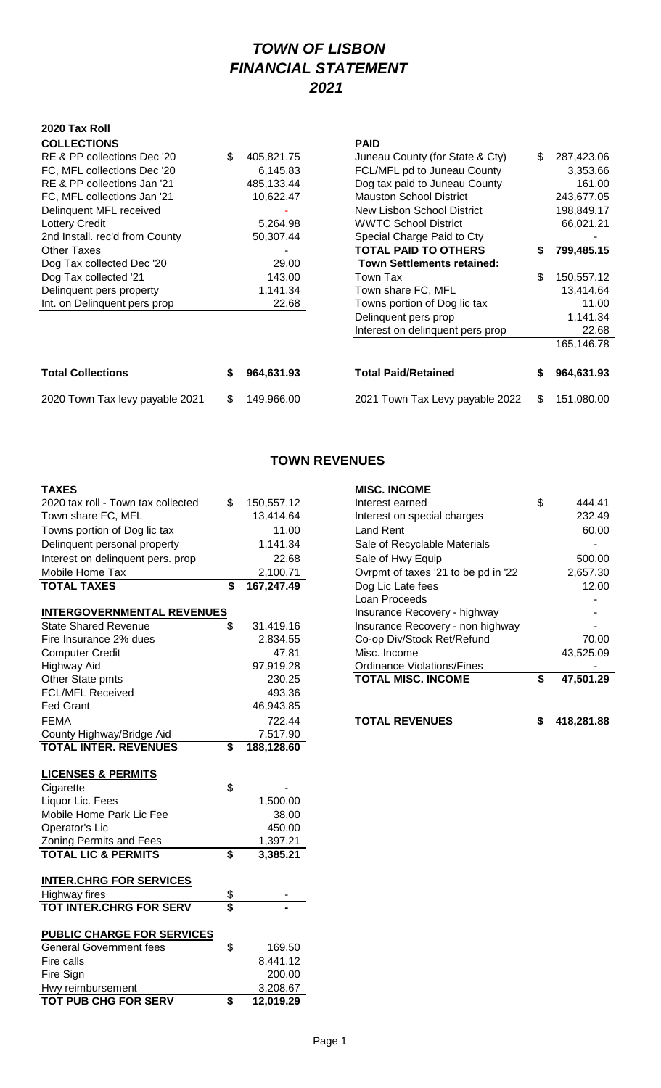# *TOWN OF LISBON FINANCIAL STATEMENT 2021*

#### **2020 Tax Roll COLLECTIONS PAID**

| <b>Total Collections</b>       | 964,631.93       | <b>Total Paid/Retained</b>        |    | 964,631.93 |
|--------------------------------|------------------|-----------------------------------|----|------------|
|                                |                  |                                   |    | 165,146.78 |
|                                |                  | Interest on delinquent pers prop  |    | 22.68      |
|                                |                  | Delinquent pers prop              |    | 1,141.34   |
| Int. on Delinquent pers prop   | 22.68            | Towns portion of Dog lic tax      |    | 11.00      |
| Delinquent pers property       | 1,141.34         | Town share FC, MFL                |    | 13,414.64  |
| Dog Tax collected '21          | 143.00           | Town Tax                          | \$ | 150,557.12 |
| Dog Tax collected Dec '20      | 29.00            | <b>Town Settlements retained:</b> |    |            |
| <b>Other Taxes</b>             |                  | <b>TOTAL PAID TO OTHERS</b>       | S. | 799,485.15 |
| 2nd Install. rec'd from County | 50,307.44        | Special Charge Paid to Cty        |    |            |
| <b>Lottery Credit</b>          | 5,264.98         | <b>WWTC School District</b>       |    | 66,021.21  |
| Delinquent MFL received        |                  | New Lisbon School District        |    | 198,849.17 |
| FC, MFL collections Jan '21    | 10,622.47        | <b>Mauston School District</b>    |    | 243,677.05 |
| RE & PP collections Jan '21    | 485,133.44       | Dog tax paid to Juneau County     |    | 161.00     |
| FC, MFL collections Dec '20    | 6,145.83         | FCL/MFL pd to Juneau County       |    | 3,353.66   |
| RE & PP collections Dec '20    | \$<br>405,821.75 | Juneau County (for State & Cty)   | \$ | 287,423.06 |
| <b>UULLLUTTUM</b>              |                  | ГМР                               |    |            |

| <b>COLLECTIONS</b>              |     |            | PAID                              |    |            |
|---------------------------------|-----|------------|-----------------------------------|----|------------|
| RE & PP collections Dec '20     | \$  | 405,821.75 | Juneau County (for State & Cty)   | \$ | 287,423.06 |
| FC, MFL collections Dec '20     |     | 6,145.83   | FCL/MFL pd to Juneau County       |    | 3,353.66   |
| RE & PP collections Jan '21     |     | 485,133.44 | Dog tax paid to Juneau County     |    | 161.00     |
| FC, MFL collections Jan '21     |     | 10,622.47  | <b>Mauston School District</b>    |    | 243,677.05 |
| Delinquent MFL received         |     |            | New Lisbon School District        |    | 198,849.17 |
| <b>Lottery Credit</b>           |     | 5,264.98   | <b>WWTC School District</b>       |    | 66,021.21  |
| 2nd Install. rec'd from County  |     | 50,307.44  | Special Charge Paid to Cty        |    |            |
| <b>Other Taxes</b>              |     |            | <b>TOTAL PAID TO OTHERS</b>       | S  | 799,485.15 |
| Dog Tax collected Dec '20       |     | 29.00      | <b>Town Settlements retained:</b> |    |            |
| Dog Tax collected '21           |     | 143.00     | Town Tax                          | \$ | 150,557.12 |
| Delinquent pers property        |     | 1,141.34   | Town share FC, MFL                |    | 13,414.64  |
| Int. on Delinquent pers prop    |     | 22.68      | Towns portion of Dog lic tax      |    | 11.00      |
|                                 |     |            | Delinquent pers prop              |    | 1,141.34   |
|                                 |     |            | Interest on delinquent pers prop  |    | 22.68      |
|                                 |     |            |                                   |    | 165,146.78 |
| <b>Total Collections</b>        | S   | 964,631.93 | <b>Total Paid/Retained</b>        | S  | 964,631.93 |
| 2020 Town Tax levy payable 2021 | \$. | 149,966.00 | 2021 Town Tax Levy payable 2022   | \$ | 151,080.00 |

## **TOWN REVENUES**

| 2020 tax roll - Town tax collected | \$                      | 150,557.12 | Interest earned                     | \$<br>444.41    |
|------------------------------------|-------------------------|------------|-------------------------------------|-----------------|
| Town share FC, MFL                 |                         | 13,414.64  | Interest on special charges         | 232.49          |
| Towns portion of Dog lic tax       |                         | 11.00      | <b>Land Rent</b>                    | 60.00           |
| Delinquent personal property       |                         | 1,141.34   | Sale of Recyclable Materials        |                 |
| Interest on delinquent pers. prop  |                         | 22.68      | Sale of Hwy Equip                   | 500.00          |
| Mobile Home Tax                    |                         | 2,100.71   | Ovrpmt of taxes '21 to be pd in '22 | 2,657.30        |
| <b>TOTAL TAXES</b>                 | \$                      | 167,247.49 | Dog Lic Late fees                   | 12.00           |
|                                    |                         |            | Loan Proceeds                       |                 |
| <b>INTERGOVERNMENTAL REVENUES</b>  |                         |            | Insurance Recovery - highway        |                 |
| <b>State Shared Revenue</b>        | \$                      | 31,419.16  | Insurance Recovery - non highway    |                 |
| Fire Insurance 2% dues             |                         | 2,834.55   | Co-op Div/Stock Ret/Refund          | 70.00           |
| <b>Computer Credit</b>             |                         | 47.81      | Misc. Income                        | 43,525.09       |
| <b>Highway Aid</b>                 |                         | 97,919.28  | <b>Ordinance Violations/Fines</b>   |                 |
| Other State pmts                   |                         | 230.25     | <b>TOTAL MISC. INCOME</b>           | \$<br>47,501.29 |
| <b>FCL/MFL Received</b>            |                         | 493.36     |                                     |                 |
| <b>Fed Grant</b>                   |                         | 46,943.85  |                                     |                 |
| <b>FEMA</b>                        |                         | 722.44     | <b>TOTAL REVENUES</b>               | 418,281.88      |
| County Highway/Bridge Aid          |                         | 7,517.90   |                                     |                 |
| <b>TOTAL INTER. REVENUES</b>       | \$                      | 188,128.60 |                                     |                 |
|                                    |                         |            |                                     |                 |
| <b>LICENSES &amp; PERMITS</b>      |                         |            |                                     |                 |
| Cigarette                          | \$                      |            |                                     |                 |
| Liquor Lic. Fees                   |                         | 1,500.00   |                                     |                 |
| Mobile Home Park Lic Fee           |                         | 38.00      |                                     |                 |
| Operator's Lic                     |                         | 450.00     |                                     |                 |
| Zoning Permits and Fees            |                         | 1,397.21   |                                     |                 |
| <b>TOTAL LIC &amp; PERMITS</b>     | \$                      | 3,385.21   |                                     |                 |
| <b>INTER.CHRG FOR SERVICES</b>     |                         |            |                                     |                 |
| <b>Highway fires</b>               | $\frac{1}{2}$           |            |                                     |                 |
| TOT INTER.CHRG FOR SERV            | $\overline{\mathbf{s}}$ |            |                                     |                 |
|                                    |                         |            |                                     |                 |
| <b>PUBLIC CHARGE FOR SERVICES</b>  |                         |            |                                     |                 |
| <b>General Government fees</b>     | \$                      | 169.50     |                                     |                 |
| Fire calls                         |                         | 8,441.12   |                                     |                 |
| Fire Sign                          |                         | 200.00     |                                     |                 |
| Hwy reimbursement                  |                         | 3,208.67   |                                     |                 |
| <b>TOT PUB CHG FOR SERV</b>        | \$                      | 12,019.29  |                                     |                 |

| <b>TAXES</b> |                    |                                                                                                                                                                                                                                                                                                                                                                                      | <b>MISC. INCOME</b>                    |
|--------------|--------------------|--------------------------------------------------------------------------------------------------------------------------------------------------------------------------------------------------------------------------------------------------------------------------------------------------------------------------------------------------------------------------------------|----------------------------------------|
|              | $0.000 \text{ kg}$ | $\overline{A}$ $\overline{C}$ $\overline{C}$ $\overline{C}$ $\overline{C}$ $\overline{C}$ $\overline{C}$ $\overline{C}$ $\overline{C}$ $\overline{C}$ $\overline{C}$ $\overline{C}$ $\overline{C}$ $\overline{C}$ $\overline{C}$ $\overline{C}$ $\overline{C}$ $\overline{C}$ $\overline{C}$ $\overline{C}$ $\overline{C}$ $\overline{C}$ $\overline{C}$ $\overline{C}$ $\overline{$ | المتحاوي والمستحدث والمستحدث والمستناة |

| <b>TOTAL REVENUES</b>                                          | 418,281.88      |
|----------------------------------------------------------------|-----------------|
|                                                                |                 |
| <b>Ordinance Violations/Fines</b><br><b>TOTAL MISC. INCOME</b> | \$<br>47,501.29 |
| Misc. Income                                                   | 43,525.09       |
| Co-op Div/Stock Ret/Refund                                     | 70.00           |
| Insurance Recovery - non highway                               |                 |
| Insurance Recovery - highway                                   |                 |
| Loan Proceeds                                                  |                 |
| Dog Lic Late fees                                              | 12.00           |
| Ovrpmt of taxes '21 to be pd in '22                            | 2,657.30        |
| Sale of Hwy Equip                                              | 500.00          |
| Sale of Recyclable Materials                                   |                 |
| Land Rent                                                      | 60.00           |
| Interest on special charges                                    | 232.49          |
| Interest earned                                                | \$<br>444.41    |
|                                                                |                 |